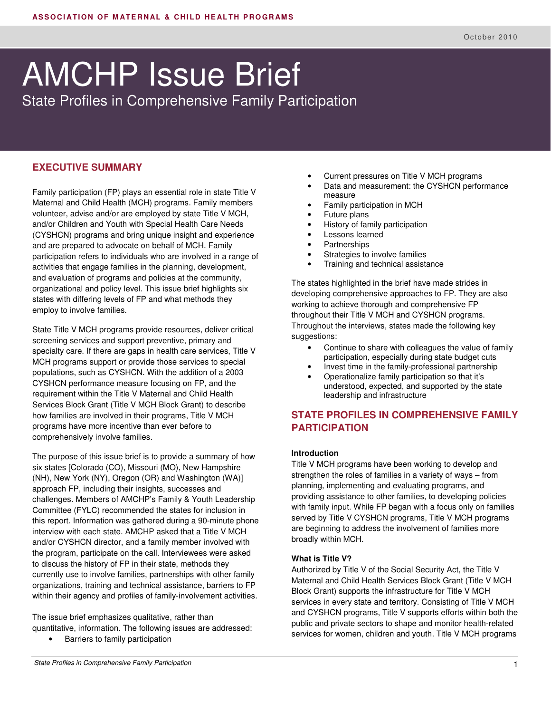# AMCHP Issue Brief

State Profiles in Comprehensive Family Participation

## **EXECUTIVE SUMMARY**

Family participation (FP) plays an essential role in state Title V Maternal and Child Health (MCH) programs. Family members volunteer, advise and/or are employed by state Title V MCH, and/or Children and Youth with Special Health Care Needs (CYSHCN) programs and bring unique insight and experience and are prepared to advocate on behalf of MCH. Family participation refers to individuals who are involved in a range of activities that engage families in the planning, development, and evaluation of programs and policies at the community, organizational and policy level. This issue brief highlights six states with differing levels of FP and what methods they employ to involve families.

State Title V MCH programs provide resources, deliver critical screening services and support preventive, primary and specialty care. If there are gaps in health care services, Title V MCH programs support or provide those services to special populations, such as CYSHCN. With the addition of a 2003 CYSHCN performance measure focusing on FP, and the requirement within the Title V Maternal and Child Health Services Block Grant (Title V MCH Block Grant) to describe how families are involved in their programs, Title V MCH programs have more incentive than ever before to comprehensively involve families.

The purpose of this issue brief is to provide a summary of how six states [Colorado (CO), Missouri (MO), New Hampshire (NH), New York (NY), Oregon (OR) and Washington (WA)] approach FP, including their insights, successes and challenges. Members of AMCHP's Family & Youth Leadership Committee (FYLC) recommended the states for inclusion in this report. Information was gathered during a 90-minute phone interview with each state. AMCHP asked that a Title V MCH and/or CYSHCN director, and a family member involved with the program, participate on the call. Interviewees were asked to discuss the history of FP in their state, methods they currently use to involve families, partnerships with other family organizations, training and technical assistance, barriers to FP within their agency and profiles of family-involvement activities.

The issue brief emphasizes qualitative, rather than quantitative, information. The following issues are addressed:

- Barriers to family participation
- State Profiles in Comprehensive Family Participation
- Current pressures on Title V MCH programs
- Data and measurement: the CYSHCN performance measure
- Family participation in MCH
- Future plans
- History of family participation
- Lessons learned
- Partnerships
- Strategies to involve families
- Training and technical assistance

The states highlighted in the brief have made strides in developing comprehensive approaches to FP. They are also working to achieve thorough and comprehensive FP throughout their Title V MCH and CYSHCN programs. Throughout the interviews, states made the following key suggestions:

- Continue to share with colleagues the value of family participation, especially during state budget cuts
- Invest time in the family-professional partnership • Operationalize family participation so that it's
- understood, expected, and supported by the state leadership and infrastructure

## **STATE PROFILES IN COMPREHENSIVE FAMILY PARTICIPATION**

#### **Introduction**

Title V MCH programs have been working to develop and strengthen the roles of families in a variety of ways – from planning, implementing and evaluating programs, and providing assistance to other families, to developing policies with family input. While FP began with a focus only on families served by Title V CYSHCN programs, Title V MCH programs are beginning to address the involvement of families more broadly within MCH.

#### **What is Title V?**

Authorized by Title V of the Social Security Act, the Title V Maternal and Child Health Services Block Grant (Title V MCH Block Grant) supports the infrastructure for Title V MCH services in every state and territory. Consisting of Title V MCH and CYSHCN programs, Title V supports efforts within both the public and private sectors to shape and monitor health-related services for women, children and youth. Title V MCH programs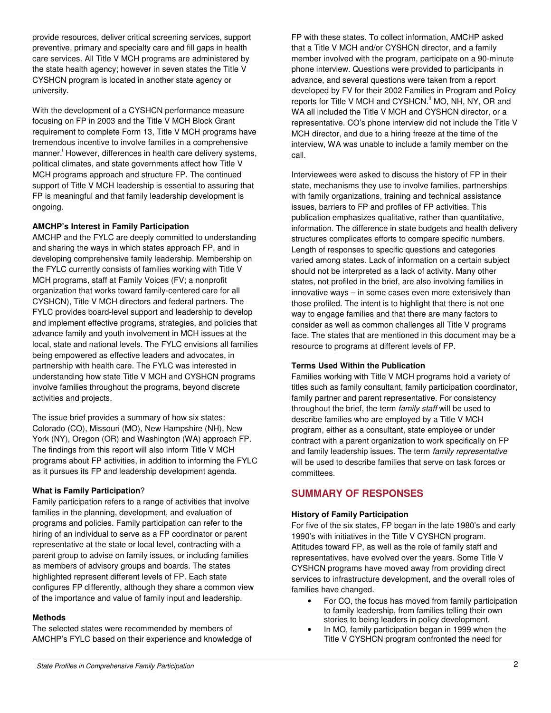provide resources, deliver critical screening services, support preventive, primary and specialty care and fill gaps in health care services. All Title V MCH programs are administered by the state health agency; however in seven states the Title V CYSHCN program is located in another state agency or university.

With the development of a CYSHCN performance measure focusing on FP in 2003 and the Title V MCH Block Grant requirement to complete Form 13, Title V MCH programs have tremendous incentive to involve families in a comprehensive manner.<sup>i</sup> However, differences in health care delivery systems, political climates, and state governments affect how Title V MCH programs approach and structure FP. The continued support of Title V MCH leadership is essential to assuring that FP is meaningful and that family leadership development is ongoing.

#### **AMCHP's Interest in Family Participation**

AMCHP and the FYLC are deeply committed to understanding and sharing the ways in which states approach FP, and in developing comprehensive family leadership. Membership on the FYLC currently consists of families working with Title V MCH programs, staff at Family Voices (FV; a nonprofit organization that works toward family-centered care for all CYSHCN), Title V MCH directors and federal partners. The FYLC provides board-level support and leadership to develop and implement effective programs, strategies, and policies that advance family and youth involvement in MCH issues at the local, state and national levels. The FYLC envisions all families being empowered as effective leaders and advocates, in partnership with health care. The FYLC was interested in understanding how state Title V MCH and CYSHCN programs involve families throughout the programs, beyond discrete activities and projects.

The issue brief provides a summary of how six states: Colorado (CO), Missouri (MO), New Hampshire (NH), New York (NY), Oregon (OR) and Washington (WA) approach FP. The findings from this report will also inform Title V MCH programs about FP activities, in addition to informing the FYLC as it pursues its FP and leadership development agenda.

#### **What is Family Participation**?

Family participation refers to a range of activities that involve families in the planning, development, and evaluation of programs and policies. Family participation can refer to the hiring of an individual to serve as a FP coordinator or parent representative at the state or local level, contracting with a parent group to advise on family issues, or including families as members of advisory groups and boards. The states highlighted represent different levels of FP. Each state configures FP differently, although they share a common view of the importance and value of family input and leadership.

#### **Methods**

The selected states were recommended by members of AMCHP's FYLC based on their experience and knowledge of

FP with these states. To collect information, AMCHP asked that a Title V MCH and/or CYSHCN director, and a family member involved with the program, participate on a 90-minute phone interview. Questions were provided to participants in advance, and several questions were taken from a report developed by FV for their 2002 Families in Program and Policy reports for Title V MCH and CYSHCN.<sup>ii</sup> MO, NH, NY, OR and WA all included the Title V MCH and CYSHCN director, or a representative. CO's phone interview did not include the Title V MCH director, and due to a hiring freeze at the time of the interview, WA was unable to include a family member on the call.

Interviewees were asked to discuss the history of FP in their state, mechanisms they use to involve families, partnerships with family organizations, training and technical assistance issues, barriers to FP and profiles of FP activities. This publication emphasizes qualitative, rather than quantitative, information. The difference in state budgets and health delivery structures complicates efforts to compare specific numbers. Length of responses to specific questions and categories varied among states. Lack of information on a certain subject should not be interpreted as a lack of activity. Many other states, not profiled in the brief, are also involving families in innovative ways – in some cases even more extensively than those profiled. The intent is to highlight that there is not one way to engage families and that there are many factors to consider as well as common challenges all Title V programs face. The states that are mentioned in this document may be a resource to programs at different levels of FP.

#### **Terms Used Within the Publication**

Families working with Title V MCH programs hold a variety of titles such as family consultant, family participation coordinator, family partner and parent representative. For consistency throughout the brief, the term family staff will be used to describe families who are employed by a Title V MCH program, either as a consultant, state employee or under contract with a parent organization to work specifically on FP and family leadership issues. The term family representative will be used to describe families that serve on task forces or committees.

## **SUMMARY OF RESPONSES**

#### **History of Family Participation**

For five of the six states, FP began in the late 1980's and early 1990's with initiatives in the Title V CYSHCN program. Attitudes toward FP, as well as the role of family staff and representatives, have evolved over the years. Some Title V CYSHCN programs have moved away from providing direct services to infrastructure development, and the overall roles of families have changed.

- For CO, the focus has moved from family participation to family leadership, from families telling their own stories to being leaders in policy development.
- In MO, family participation began in 1999 when the Title V CYSHCN program confronted the need for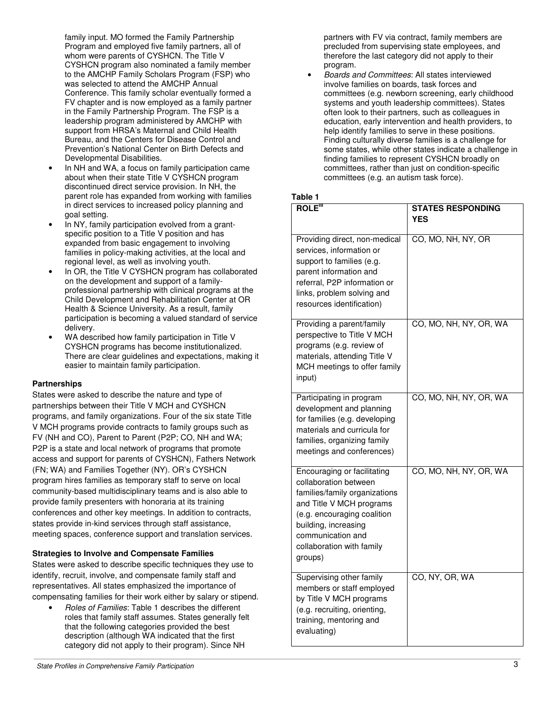family input. MO formed the Family Partnership Program and employed five family partners, all of whom were parents of CYSHCN. The Title V CYSHCN program also nominated a family member to the AMCHP Family Scholars Program (FSP) who was selected to attend the AMCHP Annual Conference. This family scholar eventually formed a FV chapter and is now employed as a family partner in the Family Partnership Program. The FSP is a leadership program administered by AMCHP with support from HRSA's Maternal and Child Health Bureau, and the Centers for Disease Control and Prevention's National Center on Birth Defects and Developmental Disabilities.

- In NH and WA, a focus on family participation came about when their state Title V CYSHCN program discontinued direct service provision. In NH, the parent role has expanded from working with families in direct services to increased policy planning and goal setting.
- In NY, family participation evolved from a grantspecific position to a Title V position and has expanded from basic engagement to involving families in policy-making activities, at the local and regional level, as well as involving youth.
- In OR, the Title V CYSHCN program has collaborated on the development and support of a familyprofessional partnership with clinical programs at the Child Development and Rehabilitation Center at OR Health & Science University. As a result, family participation is becoming a valued standard of service delivery.
- WA described how family participation in Title V CYSHCN programs has become institutionalized. There are clear guidelines and expectations, making it easier to maintain family participation.

#### **Partnerships**

States were asked to describe the nature and type of partnerships between their Title V MCH and CYSHCN programs, and family organizations. Four of the six state Title V MCH programs provide contracts to family groups such as FV (NH and CO), Parent to Parent (P2P; CO, NH and WA; P2P is a state and local network of programs that promote access and support for parents of CYSHCN), Fathers Network (FN; WA) and Families Together (NY). OR's CYSHCN program hires families as temporary staff to serve on local community-based multidisciplinary teams and is also able to provide family presenters with honoraria at its training conferences and other key meetings. In addition to contracts, states provide in-kind services through staff assistance, meeting spaces, conference support and translation services.

#### **Strategies to Involve and Compensate Families**

States were asked to describe specific techniques they use to identify, recruit, involve, and compensate family staff and representatives. All states emphasized the importance of compensating families for their work either by salary or stipend.

• Roles of Families: Table 1 describes the different roles that family staff assumes. States generally felt that the following categories provided the best description (although WA indicated that the first category did not apply to their program). Since NH

partners with FV via contract, family members are precluded from supervising state employees, and therefore the last category did not apply to their program.

• Boards and Committees: All states interviewed involve families on boards, task forces and committees (e.g. newborn screening, early childhood systems and youth leadership committees). States often look to their partners, such as colleagues in education, early intervention and health providers, to help identify families to serve in these positions. Finding culturally diverse families is a challenge for some states, while other states indicate a challenge in finding families to represent CYSHCN broadly on committees, rather than just on condition-specific committees (e.g. an autism task force).

#### **Table 1**

| <b>ROLE"</b>                                                                                                                                                                                                                          | <b>STATES RESPONDING</b><br><b>YES</b> |
|---------------------------------------------------------------------------------------------------------------------------------------------------------------------------------------------------------------------------------------|----------------------------------------|
| Providing direct, non-medical<br>services, information or<br>support to families (e.g.<br>parent information and<br>referral, P2P information or<br>links, problem solving and<br>resources identification)                           | CO, MO, NH, NY, OR                     |
| Providing a parent/family<br>perspective to Title V MCH<br>programs (e.g. review of<br>materials, attending Title V<br>MCH meetings to offer family<br>input)                                                                         | CO, MO, NH, NY, OR, WA                 |
| Participating in program<br>development and planning<br>for families (e.g. developing<br>materials and curricula for<br>families, organizing family<br>meetings and conferences)                                                      | CO, MO, NH, NY, OR, WA                 |
| Encouraging or facilitating<br>collaboration between<br>families/family organizations<br>and Title V MCH programs<br>(e.g. encouraging coalition<br>building, increasing<br>communication and<br>collaboration with family<br>groups) | CO, MO, NH, NY, OR, WA                 |
| Supervising other family<br>members or staff employed<br>by Title V MCH programs<br>(e.g. recruiting, orienting,<br>training, mentoring and<br>evaluating)                                                                            | CO, NY, OR, WA                         |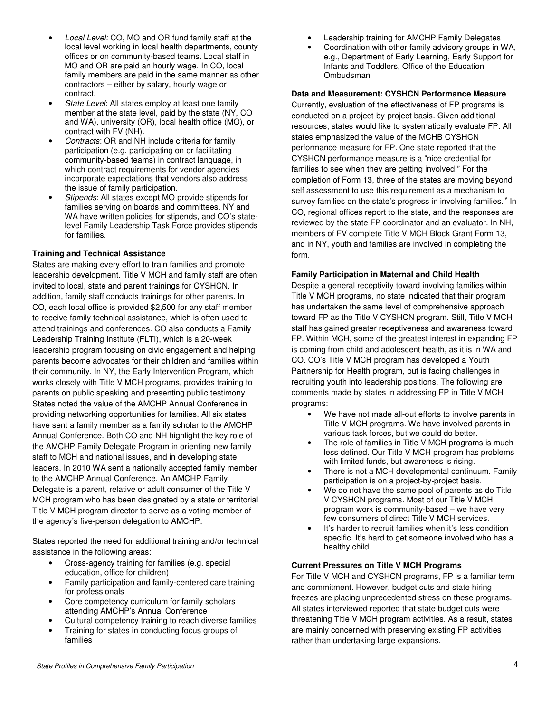- Local Level: CO, MO and OR fund family staff at the local level working in local health departments, county offices or on community-based teams. Local staff in MO and OR are paid an hourly wage. In CO, local family members are paid in the same manner as other contractors – either by salary, hourly wage or contract.
- State Level: All states employ at least one family member at the state level, paid by the state (NY, CO and WA), university (OR), local health office (MO), or contract with FV (NH).
- Contracts: OR and NH include criteria for family participation (e.g. participating on or facilitating community-based teams) in contract language, in which contract requirements for vendor agencies incorporate expectations that vendors also address the issue of family participation.
- Stipends: All states except MO provide stipends for families serving on boards and committees. NY and WA have written policies for stipends, and CO's statelevel Family Leadership Task Force provides stipends for families.

#### **Training and Technical Assistance**

States are making every effort to train families and promote leadership development. Title V MCH and family staff are often invited to local, state and parent trainings for CYSHCN. In addition, family staff conducts trainings for other parents. In CO, each local office is provided \$2,500 for any staff member to receive family technical assistance, which is often used to attend trainings and conferences. CO also conducts a Family Leadership Training Institute (FLTI), which is a 20-week leadership program focusing on civic engagement and helping parents become advocates for their children and families within their community. In NY, the Early Intervention Program, which works closely with Title V MCH programs, provides training to parents on public speaking and presenting public testimony. States noted the value of the AMCHP Annual Conference in providing networking opportunities for families. All six states have sent a family member as a family scholar to the AMCHP Annual Conference. Both CO and NH highlight the key role of the AMCHP Family Delegate Program in orienting new family staff to MCH and national issues, and in developing state leaders. In 2010 WA sent a nationally accepted family member to the AMCHP Annual Conference. An AMCHP Family Delegate is a parent, relative or adult consumer of the Title V MCH program who has been designated by a state or territorial Title V MCH program director to serve as a voting member of the agency's five-person delegation to AMCHP.

States reported the need for additional training and/or technical assistance in the following areas:

- Cross-agency training for families (e.g. special education, office for children)
- Family participation and family-centered care training for professionals
- Core competency curriculum for family scholars attending AMCHP's Annual Conference
- Cultural competency training to reach diverse families
- Training for states in conducting focus groups of families
- Leadership training for AMCHP Family Delegates
- Coordination with other family advisory groups in WA, e.g., Department of Early Learning, Early Support for Infants and Toddlers, Office of the Education **Ombudsman**

#### **Data and Measurement: CYSHCN Performance Measure**

Currently, evaluation of the effectiveness of FP programs is conducted on a project-by-project basis. Given additional resources, states would like to systematically evaluate FP. All states emphasized the value of the MCHB CYSHCN performance measure for FP. One state reported that the CYSHCN performance measure is a "nice credential for families to see when they are getting involved." For the completion of Form 13, three of the states are moving beyond self assessment to use this requirement as a mechanism to survey families on the state's progress in involving families.<sup> $v$ </sup> In CO, regional offices report to the state, and the responses are reviewed by the state FP coordinator and an evaluator. In NH, members of FV complete Title V MCH Block Grant Form 13, and in NY, youth and families are involved in completing the form.

#### **Family Participation in Maternal and Child Health**

Despite a general receptivity toward involving families within Title V MCH programs, no state indicated that their program has undertaken the same level of comprehensive approach toward FP as the Title V CYSHCN program. Still, Title V MCH staff has gained greater receptiveness and awareness toward FP. Within MCH, some of the greatest interest in expanding FP is coming from child and adolescent health, as it is in WA and CO. CO's Title V MCH program has developed a Youth Partnership for Health program, but is facing challenges in recruiting youth into leadership positions. The following are comments made by states in addressing FP in Title V MCH programs:

- We have not made all-out efforts to involve parents in Title V MCH programs. We have involved parents in various task forces, but we could do better.
- The role of families in Title V MCH programs is much less defined. Our Title V MCH program has problems with limited funds, but awareness is rising.
- There is not a MCH developmental continuum. Family participation is on a project-by-project basis.
- We do not have the same pool of parents as do Title V CYSHCN programs. Most of our Title V MCH program work is community-based – we have very few consumers of direct Title V MCH services.
- It's harder to recruit families when it's less condition specific. It's hard to get someone involved who has a healthy child.

#### **Current Pressures on Title V MCH Programs**

For Title V MCH and CYSHCN programs, FP is a familiar term and commitment. However, budget cuts and state hiring freezes are placing unprecedented stress on these programs. All states interviewed reported that state budget cuts were threatening Title V MCH program activities. As a result, states are mainly concerned with preserving existing FP activities rather than undertaking large expansions.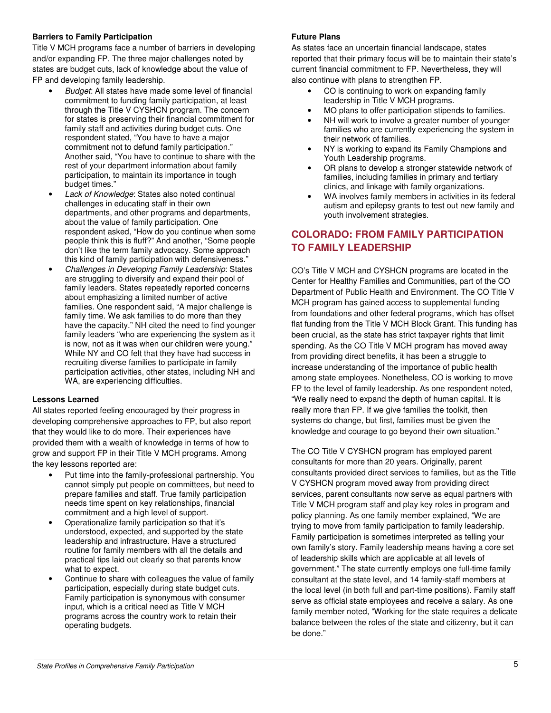#### **Barriers to Family Participation**

Title V MCH programs face a number of barriers in developing and/or expanding FP. The three major challenges noted by states are budget cuts, lack of knowledge about the value of FP and developing family leadership.

- Budget: All states have made some level of financial commitment to funding family participation, at least through the Title V CYSHCN program. The concern for states is preserving their financial commitment for family staff and activities during budget cuts. One respondent stated, "You have to have a major commitment not to defund family participation." Another said, "You have to continue to share with the rest of your department information about family participation, to maintain its importance in tough budget times."
- Lack of Knowledge: States also noted continual challenges in educating staff in their own departments, and other programs and departments, about the value of family participation. One respondent asked, "How do you continue when some people think this is fluff?" And another, "Some people don't like the term family advocacy. Some approach this kind of family participation with defensiveness."
- Challenges in Developing Family Leadership: States are struggling to diversify and expand their pool of family leaders. States repeatedly reported concerns about emphasizing a limited number of active families. One respondent said, "A major challenge is family time. We ask families to do more than they have the capacity." NH cited the need to find younger family leaders "who are experiencing the system as it is now, not as it was when our children were young." While NY and CO felt that they have had success in recruiting diverse families to participate in family participation activities, other states, including NH and WA, are experiencing difficulties.

## **Lessons Learned**

All states reported feeling encouraged by their progress in developing comprehensive approaches to FP, but also report that they would like to do more. Their experiences have provided them with a wealth of knowledge in terms of how to grow and support FP in their Title V MCH programs. Among the key lessons reported are:

- Put time into the family-professional partnership. You cannot simply put people on committees, but need to prepare families and staff. True family participation needs time spent on key relationships, financial commitment and a high level of support.
- Operationalize family participation so that it's understood, expected, and supported by the state leadership and infrastructure. Have a structured routine for family members with all the details and practical tips laid out clearly so that parents know what to expect.
- Continue to share with colleagues the value of family participation, especially during state budget cuts. Family participation is synonymous with consumer input, which is a critical need as Title V MCH programs across the country work to retain their operating budgets.

## **Future Plans**

As states face an uncertain financial landscape, states reported that their primary focus will be to maintain their state's current financial commitment to FP. Nevertheless, they will also continue with plans to strengthen FP.

- CO is continuing to work on expanding family leadership in Title V MCH programs.
- MO plans to offer participation stipends to families.
- NH will work to involve a greater number of younger families who are currently experiencing the system in their network of families.
- NY is working to expand its Family Champions and Youth Leadership programs.
- OR plans to develop a stronger statewide network of families, including families in primary and tertiary clinics, and linkage with family organizations.
- WA involves family members in activities in its federal autism and epilepsy grants to test out new family and youth involvement strategies.

# **COLORADO: FROM FAMILY PARTICIPATION TO FAMILY LEADERSHIP**

CO's Title V MCH and CYSHCN programs are located in the Center for Healthy Families and Communities, part of the CO Department of Public Health and Environment. The CO Title V MCH program has gained access to supplemental funding from foundations and other federal programs, which has offset flat funding from the Title V MCH Block Grant. This funding has been crucial, as the state has strict taxpayer rights that limit spending. As the CO Title V MCH program has moved away from providing direct benefits, it has been a struggle to increase understanding of the importance of public health among state employees. Nonetheless, CO is working to move FP to the level of family leadership. As one respondent noted, "We really need to expand the depth of human capital. It is really more than FP. If we give families the toolkit, then systems do change, but first, families must be given the knowledge and courage to go beyond their own situation."

The CO Title V CYSHCN program has employed parent consultants for more than 20 years. Originally, parent consultants provided direct services to families, but as the Title V CYSHCN program moved away from providing direct services, parent consultants now serve as equal partners with Title V MCH program staff and play key roles in program and policy planning. As one family member explained, "We are trying to move from family participation to family leadership. Family participation is sometimes interpreted as telling your own family's story. Family leadership means having a core set of leadership skills which are applicable at all levels of government." The state currently employs one full-time family consultant at the state level, and 14 family-staff members at the local level (in both full and part-time positions). Family staff serve as official state employees and receive a salary. As one family member noted, "Working for the state requires a delicate balance between the roles of the state and citizenry, but it can be done."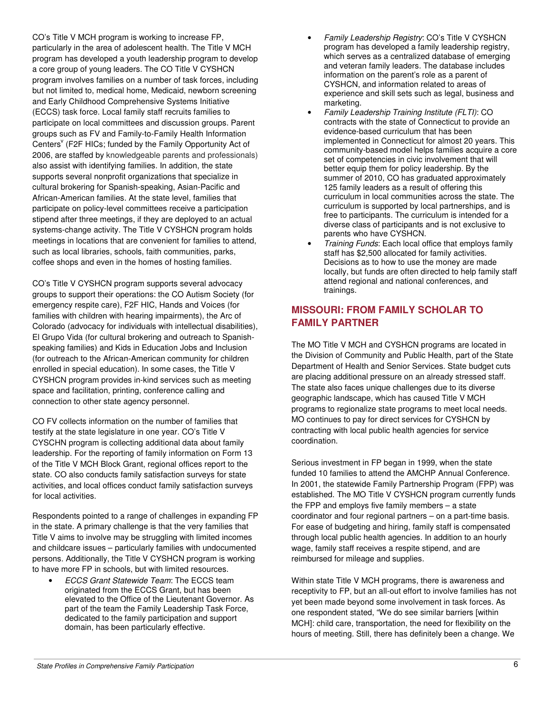CO's Title V MCH program is working to increase FP, particularly in the area of adolescent health. The Title V MCH program has developed a youth leadership program to develop a core group of young leaders. The CO Title V CYSHCN program involves families on a number of task forces, including but not limited to, medical home, Medicaid, newborn screening and Early Childhood Comprehensive Systems Initiative (ECCS) task force. Local family staff recruits families to participate on local committees and discussion groups. Parent groups such as FV and Family-to-Family Health Information Centers<sup>v</sup> (F2F HICs; funded by the Family Opportunity Act of 2006, are staffed by knowledgeable parents and professionals) also assist with identifying families. In addition, the state supports several nonprofit organizations that specialize in cultural brokering for Spanish-speaking, Asian-Pacific and African-American families. At the state level, families that participate on policy-level committees receive a participation stipend after three meetings, if they are deployed to an actual systems-change activity. The Title V CYSHCN program holds meetings in locations that are convenient for families to attend, such as local libraries, schools, faith communities, parks, coffee shops and even in the homes of hosting families.

CO's Title V CYSHCN program supports several advocacy groups to support their operations: the CO Autism Society (for emergency respite care), F2F HIC, Hands and Voices (for families with children with hearing impairments), the Arc of Colorado (advocacy for individuals with intellectual disabilities), El Grupo Vida (for cultural brokering and outreach to Spanishspeaking families) and Kids in Education Jobs and Inclusion (for outreach to the African-American community for children enrolled in special education). In some cases, the Title V CYSHCN program provides in-kind services such as meeting space and facilitation, printing, conference calling and connection to other state agency personnel.

CO FV collects information on the number of families that testify at the state legislature in one year. CO's Title V CYSCHN program is collecting additional data about family leadership. For the reporting of family information on Form 13 of the Title V MCH Block Grant, regional offices report to the state. CO also conducts family satisfaction surveys for state activities, and local offices conduct family satisfaction surveys for local activities.

Respondents pointed to a range of challenges in expanding FP in the state. A primary challenge is that the very families that Title V aims to involve may be struggling with limited incomes and childcare issues – particularly families with undocumented persons. Additionally, the Title V CYSHCN program is working to have more FP in schools, but with limited resources.

• ECCS Grant Statewide Team: The ECCS team originated from the ECCS Grant, but has been elevated to the Office of the Lieutenant Governor. As part of the team the Family Leadership Task Force, dedicated to the family participation and support domain, has been particularly effective.

- Family Leadership Registry: CO's Title V CYSHCN program has developed a family leadership registry, which serves as a centralized database of emerging and veteran family leaders. The database includes information on the parent's role as a parent of CYSHCN, and information related to areas of experience and skill sets such as legal, business and marketing.
- Family Leadership Training Institute (FLTI): CO contracts with the state of Connecticut to provide an evidence-based curriculum that has been implemented in Connecticut for almost 20 years. This community-based model helps families acquire a core set of competencies in civic involvement that will better equip them for policy leadership. By the summer of 2010, CO has graduated approximately 125 family leaders as a result of offering this curriculum in local communities across the state. The curriculum is supported by local partnerships, and is free to participants. The curriculum is intended for a diverse class of participants and is not exclusive to parents who have CYSHCN.
- Training Funds: Each local office that employs family staff has \$2,500 allocated for family activities. Decisions as to how to use the money are made locally, but funds are often directed to help family staff attend regional and national conferences, and trainings.

# **MISSOURI: FROM FAMILY SCHOLAR TO FAMILY PARTNER**

The MO Title V MCH and CYSHCN programs are located in the Division of Community and Public Health, part of the State Department of Health and Senior Services. State budget cuts are placing additional pressure on an already stressed staff. The state also faces unique challenges due to its diverse geographic landscape, which has caused Title V MCH programs to regionalize state programs to meet local needs. MO continues to pay for direct services for CYSHCN by contracting with local public health agencies for service coordination.

Serious investment in FP began in 1999, when the state funded 10 families to attend the AMCHP Annual Conference. In 2001, the statewide Family Partnership Program (FPP) was established. The MO Title V CYSHCN program currently funds the FPP and employs five family members – a state coordinator and four regional partners – on a part-time basis. For ease of budgeting and hiring, family staff is compensated through local public health agencies. In addition to an hourly wage, family staff receives a respite stipend, and are reimbursed for mileage and supplies.

Within state Title V MCH programs, there is awareness and receptivity to FP, but an all-out effort to involve families has not yet been made beyond some involvement in task forces. As one respondent stated, "We do see similar barriers [within MCH]: child care, transportation, the need for flexibility on the hours of meeting. Still, there has definitely been a change. We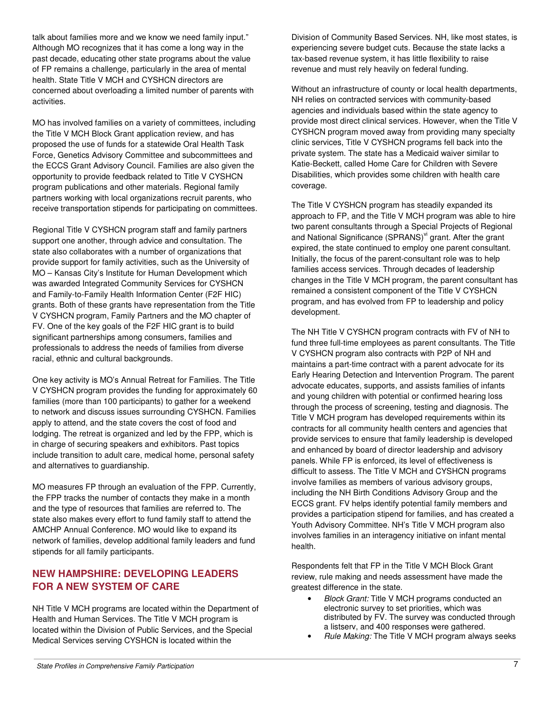talk about families more and we know we need family input." Although MO recognizes that it has come a long way in the past decade, educating other state programs about the value of FP remains a challenge, particularly in the area of mental health. State Title V MCH and CYSHCN directors are concerned about overloading a limited number of parents with activities.

MO has involved families on a variety of committees, including the Title V MCH Block Grant application review, and has proposed the use of funds for a statewide Oral Health Task Force, Genetics Advisory Committee and subcommittees and the ECCS Grant Advisory Council. Families are also given the opportunity to provide feedback related to Title V CYSHCN program publications and other materials. Regional family partners working with local organizations recruit parents, who receive transportation stipends for participating on committees.

Regional Title V CYSHCN program staff and family partners support one another, through advice and consultation. The state also collaborates with a number of organizations that provide support for family activities, such as the University of MO – Kansas City's Institute for Human Development which was awarded Integrated Community Services for CYSHCN and Family-to-Family Health Information Center (F2F HIC) grants. Both of these grants have representation from the Title V CYSHCN program, Family Partners and the MO chapter of FV. One of the key goals of the F2F HIC grant is to build significant partnerships among consumers, families and professionals to address the needs of families from diverse racial, ethnic and cultural backgrounds.

One key activity is MO's Annual Retreat for Families. The Title V CYSHCN program provides the funding for approximately 60 families (more than 100 participants) to gather for a weekend to network and discuss issues surrounding CYSHCN. Families apply to attend, and the state covers the cost of food and lodging. The retreat is organized and led by the FPP, which is in charge of securing speakers and exhibitors. Past topics include transition to adult care, medical home, personal safety and alternatives to guardianship.

MO measures FP through an evaluation of the FPP. Currently, the FPP tracks the number of contacts they make in a month and the type of resources that families are referred to. The state also makes every effort to fund family staff to attend the AMCHP Annual Conference. MO would like to expand its network of families, develop additional family leaders and fund stipends for all family participants.

## **NEW HAMPSHIRE: DEVELOPING LEADERS FOR A NEW SYSTEM OF CARE**

NH Title V MCH programs are located within the Department of Health and Human Services. The Title V MCH program is located within the Division of Public Services, and the Special Medical Services serving CYSHCN is located within the

Division of Community Based Services. NH, like most states, is experiencing severe budget cuts. Because the state lacks a tax-based revenue system, it has little flexibility to raise revenue and must rely heavily on federal funding.

Without an infrastructure of county or local health departments, NH relies on contracted services with community-based agencies and individuals based within the state agency to provide most direct clinical services. However, when the Title V CYSHCN program moved away from providing many specialty clinic services, Title V CYSHCN programs fell back into the private system. The state has a Medicaid waiver similar to Katie-Beckett, called Home Care for Children with Severe Disabilities, which provides some children with health care coverage.

The Title V CYSHCN program has steadily expanded its approach to FP, and the Title V MCH program was able to hire two parent consultants through a Special Projects of Regional and National Significance (SPRANS)<sup>vi</sup> grant. After the grant expired, the state continued to employ one parent consultant. Initially, the focus of the parent-consultant role was to help families access services. Through decades of leadership changes in the Title V MCH program, the parent consultant has remained a consistent component of the Title V CYSHCN program, and has evolved from FP to leadership and policy development.

The NH Title V CYSHCN program contracts with FV of NH to fund three full-time employees as parent consultants. The Title V CYSHCN program also contracts with P2P of NH and maintains a part-time contract with a parent advocate for its Early Hearing Detection and Intervention Program. The parent advocate educates, supports, and assists families of infants and young children with potential or confirmed hearing loss through the process of screening, testing and diagnosis. The Title V MCH program has developed requirements within its contracts for all community health centers and agencies that provide services to ensure that family leadership is developed and enhanced by board of director leadership and advisory panels. While FP is enforced, its level of effectiveness is difficult to assess. The Title V MCH and CYSHCN programs involve families as members of various advisory groups, including the NH Birth Conditions Advisory Group and the ECCS grant. FV helps identify potential family members and provides a participation stipend for families, and has created a Youth Advisory Committee. NH's Title V MCH program also involves families in an interagency initiative on infant mental health.

Respondents felt that FP in the Title V MCH Block Grant review, rule making and needs assessment have made the greatest difference in the state.

- Block Grant: Title V MCH programs conducted an electronic survey to set priorities, which was distributed by FV. The survey was conducted through a listserv, and 400 responses were gathered.
- Rule Making: The Title V MCH program always seeks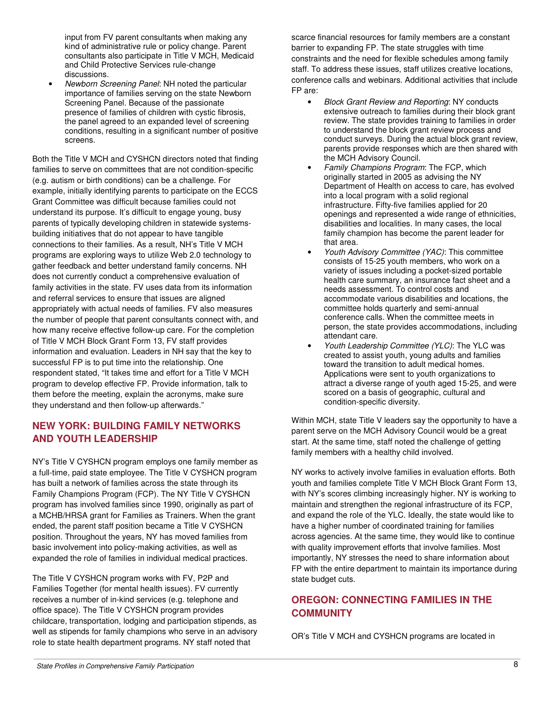input from FV parent consultants when making any kind of administrative rule or policy change. Parent consultants also participate in Title V MCH, Medicaid and Child Protective Services rule-change discussions.

• Newborn Screening Panel: NH noted the particular importance of families serving on the state Newborn Screening Panel. Because of the passionate presence of families of children with cystic fibrosis, the panel agreed to an expanded level of screening conditions, resulting in a significant number of positive screens.

Both the Title V MCH and CYSHCN directors noted that finding families to serve on committees that are not condition-specific (e.g. autism or birth conditions) can be a challenge. For example, initially identifying parents to participate on the ECCS Grant Committee was difficult because families could not understand its purpose. It's difficult to engage young, busy parents of typically developing children in statewide systemsbuilding initiatives that do not appear to have tangible connections to their families. As a result, NH's Title V MCH programs are exploring ways to utilize Web 2.0 technology to gather feedback and better understand family concerns. NH does not currently conduct a comprehensive evaluation of family activities in the state. FV uses data from its information and referral services to ensure that issues are aligned appropriately with actual needs of families. FV also measures the number of people that parent consultants connect with, and how many receive effective follow-up care. For the completion of Title V MCH Block Grant Form 13, FV staff provides information and evaluation. Leaders in NH say that the key to successful FP is to put time into the relationship. One respondent stated, "It takes time and effort for a Title V MCH program to develop effective FP. Provide information, talk to them before the meeting, explain the acronyms, make sure they understand and then follow-up afterwards."

## **NEW YORK: BUILDING FAMILY NETWORKS AND YOUTH LEADERSHIP**

NY's Title V CYSHCN program employs one family member as a full-time, paid state employee. The Title V CYSHCN program has built a network of families across the state through its Family Champions Program (FCP). The NY Title V CYSHCN program has involved families since 1990, originally as part of a MCHB/HRSA grant for Families as Trainers. When the grant ended, the parent staff position became a Title V CYSHCN position. Throughout the years, NY has moved families from basic involvement into policy-making activities, as well as expanded the role of families in individual medical practices.

The Title V CYSHCN program works with FV, P2P and Families Together (for mental health issues). FV currently receives a number of in-kind services (e.g. telephone and office space). The Title V CYSHCN program provides childcare, transportation, lodging and participation stipends, as well as stipends for family champions who serve in an advisory role to state health department programs. NY staff noted that

scarce financial resources for family members are a constant barrier to expanding FP. The state struggles with time constraints and the need for flexible schedules among family staff. To address these issues, staff utilizes creative locations, conference calls and webinars. Additional activities that include FP are:

- Block Grant Review and Reporting: NY conducts extensive outreach to families during their block grant review. The state provides training to families in order to understand the block grant review process and conduct surveys. During the actual block grant review, parents provide responses which are then shared with the MCH Advisory Council.
- Family Champions Program: The FCP, which originally started in 2005 as advising the NY Department of Health on access to care, has evolved into a local program with a solid regional infrastructure. Fifty-five families applied for 20 openings and represented a wide range of ethnicities, disabilities and localities. In many cases, the local family champion has become the parent leader for that area.
- Youth Advisory Committee (YAC): This committee consists of 15-25 youth members, who work on a variety of issues including a pocket-sized portable health care summary, an insurance fact sheet and a needs assessment. To control costs and accommodate various disabilities and locations, the committee holds quarterly and semi-annual conference calls. When the committee meets in person, the state provides accommodations, including attendant care.
- Youth Leadership Committee (YLC): The YLC was created to assist youth, young adults and families toward the transition to adult medical homes. Applications were sent to youth organizations to attract a diverse range of youth aged 15-25, and were scored on a basis of geographic, cultural and condition-specific diversity.

Within MCH, state Title V leaders say the opportunity to have a parent serve on the MCH Advisory Council would be a great start. At the same time, staff noted the challenge of getting family members with a healthy child involved.

NY works to actively involve families in evaluation efforts. Both youth and families complete Title V MCH Block Grant Form 13, with NY's scores climbing increasingly higher. NY is working to maintain and strengthen the regional infrastructure of its FCP, and expand the role of the YLC. Ideally, the state would like to have a higher number of coordinated training for families across agencies. At the same time, they would like to continue with quality improvement efforts that involve families. Most importantly, NY stresses the need to share information about FP with the entire department to maintain its importance during state budget cuts.

# **OREGON: CONNECTING FAMILIES IN THE COMMUNITY**

OR's Title V MCH and CYSHCN programs are located in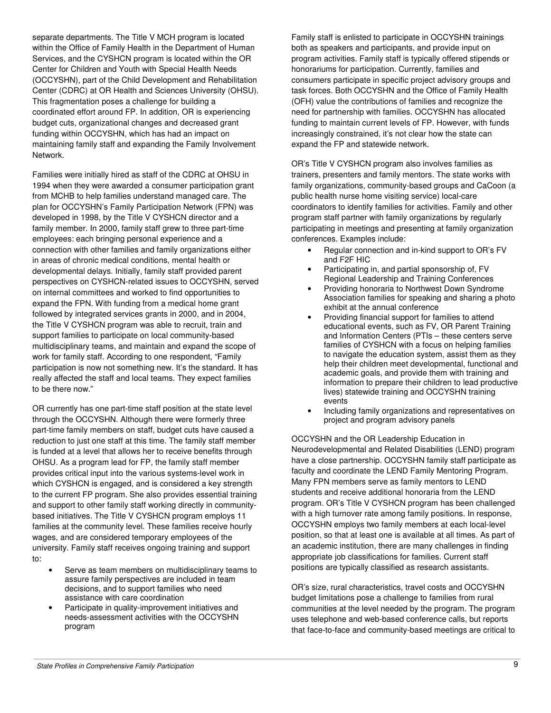separate departments. The Title V MCH program is located within the Office of Family Health in the Department of Human Services, and the CYSHCN program is located within the OR Center for Children and Youth with Special Health Needs (OCCYSHN), part of the Child Development and Rehabilitation Center (CDRC) at OR Health and Sciences University (OHSU). This fragmentation poses a challenge for building a coordinated effort around FP. In addition, OR is experiencing budget cuts, organizational changes and decreased grant funding within OCCYSHN, which has had an impact on maintaining family staff and expanding the Family Involvement Network.

Families were initially hired as staff of the CDRC at OHSU in 1994 when they were awarded a consumer participation grant from MCHB to help families understand managed care. The plan for OCCYSHN's Family Participation Network (FPN) was developed in 1998, by the Title V CYSHCN director and a family member. In 2000, family staff grew to three part-time employees: each bringing personal experience and a connection with other families and family organizations either in areas of chronic medical conditions, mental health or developmental delays. Initially, family staff provided parent perspectives on CYSHCN-related issues to OCCYSHN, served on internal committees and worked to find opportunities to expand the FPN. With funding from a medical home grant followed by integrated services grants in 2000, and in 2004, the Title V CYSHCN program was able to recruit, train and support families to participate on local community-based multidisciplinary teams, and maintain and expand the scope of work for family staff. According to one respondent, "Family participation is now not something new. It's the standard. It has really affected the staff and local teams. They expect families to be there now."

OR currently has one part-time staff position at the state level through the OCCYSHN. Although there were formerly three part-time family members on staff, budget cuts have caused a reduction to just one staff at this time. The family staff member is funded at a level that allows her to receive benefits through OHSU. As a program lead for FP, the family staff member provides critical input into the various systems-level work in which CYSHCN is engaged, and is considered a key strength to the current FP program. She also provides essential training and support to other family staff working directly in communitybased initiatives. The Title V CYSHCN program employs 11 families at the community level. These families receive hourly wages, and are considered temporary employees of the university. Family staff receives ongoing training and support to:

- Serve as team members on multidisciplinary teams to assure family perspectives are included in team decisions, and to support families who need assistance with care coordination
- Participate in quality-improvement initiatives and needs-assessment activities with the OCCYSHN program

Family staff is enlisted to participate in OCCYSHN trainings both as speakers and participants, and provide input on program activities. Family staff is typically offered stipends or honorariums for participation. Currently, families and consumers participate in specific project advisory groups and task forces. Both OCCYSHN and the Office of Family Health (OFH) value the contributions of families and recognize the need for partnership with families. OCCYSHN has allocated funding to maintain current levels of FP. However, with funds increasingly constrained, it's not clear how the state can expand the FP and statewide network.

OR's Title V CYSHCN program also involves families as trainers, presenters and family mentors. The state works with family organizations, community-based groups and CaCoon (a public health nurse home visiting service) local-care coordinators to identify families for activities. Family and other program staff partner with family organizations by regularly participating in meetings and presenting at family organization conferences. Examples include:

- Regular connection and in-kind support to OR's FV and F2F HIC
- Participating in, and partial sponsorship of, FV Regional Leadership and Training Conferences
- Providing honoraria to Northwest Down Syndrome Association families for speaking and sharing a photo exhibit at the annual conference
- Providing financial support for families to attend educational events, such as FV, OR Parent Training and Information Centers (PTIs – these centers serve families of CYSHCN with a focus on helping families to navigate the education system, assist them as they help their children meet developmental, functional and academic goals, and provide them with training and information to prepare their children to lead productive lives) statewide training and OCCYSHN training events
- Including family organizations and representatives on project and program advisory panels

OCCYSHN and the OR Leadership Education in Neurodevelopmental and Related Disabilities (LEND) program have a close partnership. OCCYSHN family staff participate as faculty and coordinate the LEND Family Mentoring Program. Many FPN members serve as family mentors to LEND students and receive additional honoraria from the LEND program. OR's Title V CYSHCN program has been challenged with a high turnover rate among family positions. In response, OCCYSHN employs two family members at each local-level position, so that at least one is available at all times. As part of an academic institution, there are many challenges in finding appropriate job classifications for families. Current staff positions are typically classified as research assistants.

OR's size, rural characteristics, travel costs and OCCYSHN budget limitations pose a challenge to families from rural communities at the level needed by the program. The program uses telephone and web-based conference calls, but reports that face-to-face and community-based meetings are critical to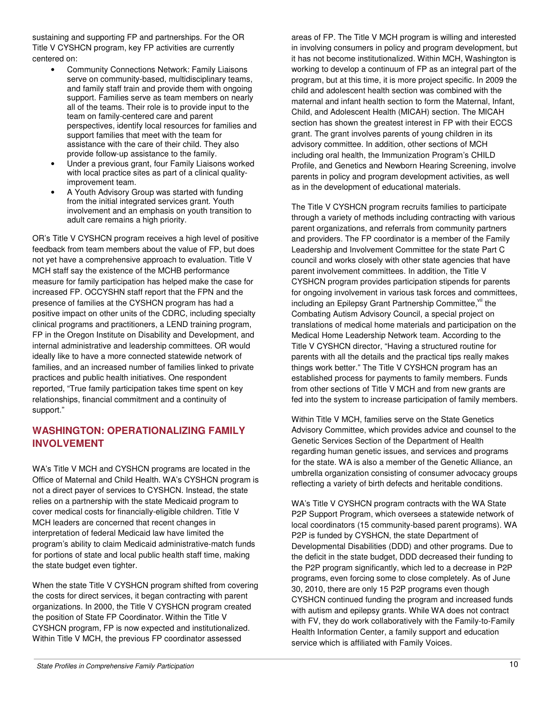sustaining and supporting FP and partnerships. For the OR Title V CYSHCN program, key FP activities are currently centered on:

- Community Connections Network: Family Liaisons serve on community-based, multidisciplinary teams, and family staff train and provide them with ongoing support. Families serve as team members on nearly all of the teams. Their role is to provide input to the team on family-centered care and parent perspectives, identify local resources for families and support families that meet with the team for assistance with the care of their child. They also provide follow-up assistance to the family.
- Under a previous grant, four Family Liaisons worked with local practice sites as part of a clinical qualityimprovement team.
- A Youth Advisory Group was started with funding from the initial integrated services grant. Youth involvement and an emphasis on youth transition to adult care remains a high priority.

OR's Title V CYSHCN program receives a high level of positive feedback from team members about the value of FP, but does not yet have a comprehensive approach to evaluation. Title V MCH staff say the existence of the MCHB performance measure for family participation has helped make the case for increased FP. OCCYSHN staff report that the FPN and the presence of families at the CYSHCN program has had a positive impact on other units of the CDRC, including specialty clinical programs and practitioners, a LEND training program, FP in the Oregon Institute on Disability and Development, and internal administrative and leadership committees. OR would ideally like to have a more connected statewide network of families, and an increased number of families linked to private practices and public health initiatives. One respondent reported, "True family participation takes time spent on key relationships, financial commitment and a continuity of support."

# **WASHINGTON: OPERATIONALIZING FAMILY INVOLVEMENT**

WA's Title V MCH and CYSHCN programs are located in the Office of Maternal and Child Health. WA's CYSHCN program is not a direct payer of services to CYSHCN. Instead, the state relies on a partnership with the state Medicaid program to cover medical costs for financially-eligible children. Title V MCH leaders are concerned that recent changes in interpretation of federal Medicaid law have limited the program's ability to claim Medicaid administrative-match funds for portions of state and local public health staff time, making the state budget even tighter.

When the state Title V CYSHCN program shifted from covering the costs for direct services, it began contracting with parent organizations. In 2000, the Title V CYSHCN program created the position of State FP Coordinator. Within the Title V CYSHCN program, FP is now expected and institutionalized. Within Title V MCH, the previous FP coordinator assessed

areas of FP. The Title V MCH program is willing and interested in involving consumers in policy and program development, but it has not become institutionalized. Within MCH, Washington is working to develop a continuum of FP as an integral part of the program, but at this time, it is more project specific. In 2009 the child and adolescent health section was combined with the maternal and infant health section to form the Maternal, Infant, Child, and Adolescent Health (MICAH) section. The MICAH section has shown the greatest interest in FP with their ECCS grant. The grant involves parents of young children in its advisory committee. In addition, other sections of MCH including oral health, the Immunization Program's CHILD Profile, and Genetics and Newborn Hearing Screening, involve parents in policy and program development activities, as well as in the development of educational materials.

The Title V CYSHCN program recruits families to participate through a variety of methods including contracting with various parent organizations, and referrals from community partners and providers. The FP coordinator is a member of the Family Leadership and Involvement Committee for the state Part C council and works closely with other state agencies that have parent involvement committees. In addition, the Title V CYSHCN program provides participation stipends for parents for ongoing involvement in various task forces and committees, including an Epilepsy Grant Partnership Committee.<sup>vii</sup> the Combating Autism Advisory Council, a special project on translations of medical home materials and participation on the Medical Home Leadership Network team. According to the Title V CYSHCN director, "Having a structured routine for parents with all the details and the practical tips really makes things work better." The Title V CYSHCN program has an established process for payments to family members. Funds from other sections of Title V MCH and from new grants are fed into the system to increase participation of family members.

Within Title V MCH, families serve on the State Genetics Advisory Committee, which provides advice and counsel to the Genetic Services Section of the Department of Health regarding human genetic issues, and services and programs for the state. WA is also a member of the Genetic Alliance, an umbrella organization consisting of consumer advocacy groups reflecting a variety of birth defects and heritable conditions.

WA's Title V CYSHCN program contracts with the WA State P2P Support Program, which oversees a statewide network of local coordinators (15 community-based parent programs). WA P2P is funded by CYSHCN, the state Department of Developmental Disabilities (DDD) and other programs. Due to the deficit in the state budget, DDD decreased their funding to the P2P program significantly, which led to a decrease in P2P programs, even forcing some to close completely. As of June 30, 2010, there are only 15 P2P programs even though CYSHCN continued funding the program and increased funds with autism and epilepsy grants. While WA does not contract with FV, they do work collaboratively with the Family-to-Family Health Information Center, a family support and education service which is affiliated with Family Voices.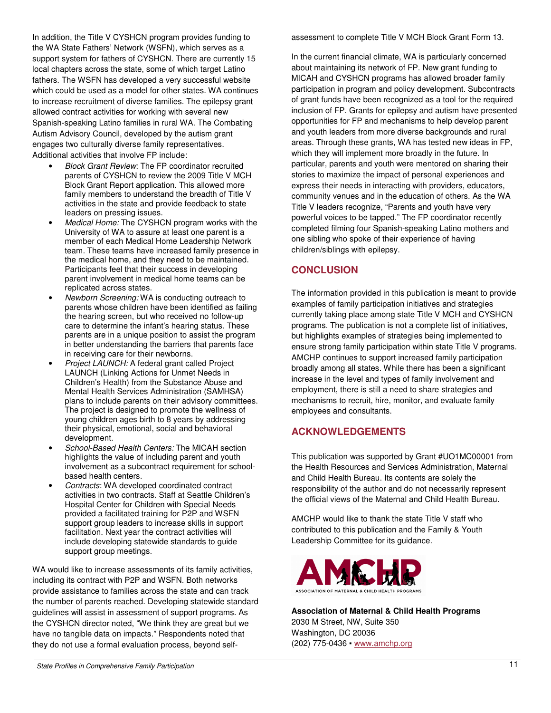In addition, the Title V CYSHCN program provides funding to the WA State Fathers' Network (WSFN), which serves as a support system for fathers of CYSHCN. There are currently 15 local chapters across the state, some of which target Latino fathers. The WSFN has developed a very successful website which could be used as a model for other states. WA continues to increase recruitment of diverse families. The epilepsy grant allowed contract activities for working with several new Spanish-speaking Latino families in rural WA. The Combating Autism Advisory Council, developed by the autism grant engages two culturally diverse family representatives. Additional activities that involve FP include:

- Block Grant Review: The FP coordinator recruited parents of CYSHCN to review the 2009 Title V MCH Block Grant Report application. This allowed more family members to understand the breadth of Title V activities in the state and provide feedback to state leaders on pressing issues.
- Medical Home: The CYSHCN program works with the University of WA to assure at least one parent is a member of each Medical Home Leadership Network team. These teams have increased family presence in the medical home, and they need to be maintained. Participants feel that their success in developing parent involvement in medical home teams can be replicated across states.
- Newborn Screening: WA is conducting outreach to parents whose children have been identified as failing the hearing screen, but who received no follow-up care to determine the infant's hearing status. These parents are in a unique position to assist the program in better understanding the barriers that parents face in receiving care for their newborns.
- Project LAUNCH: A federal grant called Project LAUNCH (Linking Actions for Unmet Needs in Children's Health) from the Substance Abuse and Mental Health Services Administration (SAMHSA) plans to include parents on their advisory committees. The project is designed to promote the wellness of young children ages birth to 8 years by addressing their physical, emotional, social and behavioral development.
- School-Based Health Centers: The MICAH section highlights the value of including parent and youth involvement as a subcontract requirement for schoolbased health centers.
- Contracts: WA developed coordinated contract activities in two contracts. Staff at Seattle Children's Hospital Center for Children with Special Needs provided a facilitated training for P2P and WSFN support group leaders to increase skills in support facilitation. Next year the contract activities will include developing statewide standards to guide support group meetings.

WA would like to increase assessments of its family activities, including its contract with P2P and WSFN. Both networks provide assistance to families across the state and can track the number of parents reached. Developing statewide standard guidelines will assist in assessment of support programs. As the CYSHCN director noted, "We think they are great but we have no tangible data on impacts." Respondents noted that they do not use a formal evaluation process, beyond selfassessment to complete Title V MCH Block Grant Form 13.

In the current financial climate, WA is particularly concerned about maintaining its network of FP. New grant funding to MICAH and CYSHCN programs has allowed broader family participation in program and policy development. Subcontracts of grant funds have been recognized as a tool for the required inclusion of FP. Grants for epilepsy and autism have presented opportunities for FP and mechanisms to help develop parent and youth leaders from more diverse backgrounds and rural areas. Through these grants, WA has tested new ideas in FP, which they will implement more broadly in the future. In particular, parents and youth were mentored on sharing their stories to maximize the impact of personal experiences and express their needs in interacting with providers, educators, community venues and in the education of others. As the WA Title V leaders recognize, "Parents and youth have very powerful voices to be tapped." The FP coordinator recently completed filming four Spanish-speaking Latino mothers and one sibling who spoke of their experience of having children/siblings with epilepsy.

# **CONCLUSION**

The information provided in this publication is meant to provide examples of family participation initiatives and strategies currently taking place among state Title V MCH and CYSHCN programs. The publication is not a complete list of initiatives, but highlights examples of strategies being implemented to ensure strong family participation within state Title V programs. AMCHP continues to support increased family participation broadly among all states. While there has been a significant increase in the level and types of family involvement and employment, there is still a need to share strategies and mechanisms to recruit, hire, monitor, and evaluate family employees and consultants.

# **ACKNOWLEDGEMENTS**

This publication was supported by Grant #UO1MC00001 from the Health Resources and Services Administration, Maternal and Child Health Bureau. Its contents are solely the responsibility of the author and do not necessarily represent the official views of the Maternal and Child Health Bureau.

AMCHP would like to thank the state Title V staff who contributed to this publication and the Family & Youth Leadership Committee for its guidance.



**Association of Maternal & Child Health Programs**  2030 M Street, NW, Suite 350 Washington, DC 20036 (202) 775-0436 ▪ www.amchp.org